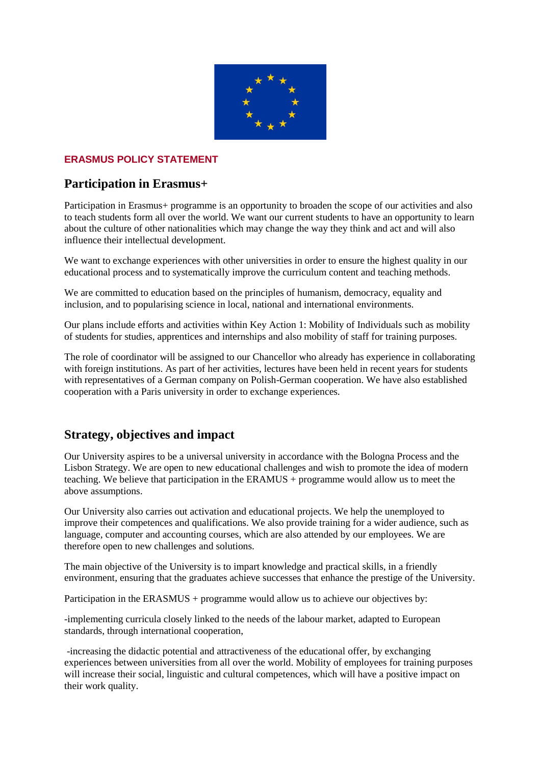

## **ERASMUS POLICY STATEMENT**

## **Participation in Erasmus+**

Participation in Erasmus+ programme is an opportunity to broaden the scope of our activities and also to teach students form all over the world. We want our current students to have an opportunity to learn about the culture of other nationalities which may change the way they think and act and will also influence their intellectual development.

We want to exchange experiences with other universities in order to ensure the highest quality in our educational process and to systematically improve the curriculum content and teaching methods.

We are committed to education based on the principles of humanism, democracy, equality and inclusion, and to popularising science in local, national and international environments.

Our plans include efforts and activities within Key Action 1: Mobility of Individuals such as mobility of students for studies, apprentices and internships and also mobility of staff for training purposes.

The role of coordinator will be assigned to our Chancellor who already has experience in collaborating with foreign institutions. As part of her activities, lectures have been held in recent years for students with representatives of a German company on Polish-German cooperation. We have also established cooperation with a Paris university in order to exchange experiences.

## **Strategy, objectives and impact**

Our University aspires to be a universal university in accordance with the Bologna Process and the Lisbon Strategy. We are open to new educational challenges and wish to promote the idea of modern teaching. We believe that participation in the ERAMUS + programme would allow us to meet the above assumptions.

Our University also carries out activation and educational projects. We help the unemployed to improve their competences and qualifications. We also provide training for a wider audience, such as language, computer and accounting courses, which are also attended by our employees. We are therefore open to new challenges and solutions.

The main objective of the University is to impart knowledge and practical skills, in a friendly environment, ensuring that the graduates achieve successes that enhance the prestige of the University.

Participation in the ERASMUS + programme would allow us to achieve our objectives by:

-implementing curricula closely linked to the needs of the labour market, adapted to European standards, through international cooperation,

-increasing the didactic potential and attractiveness of the educational offer, by exchanging experiences between universities from all over the world. Mobility of employees for training purposes will increase their social, linguistic and cultural competences, which will have a positive impact on their work quality.